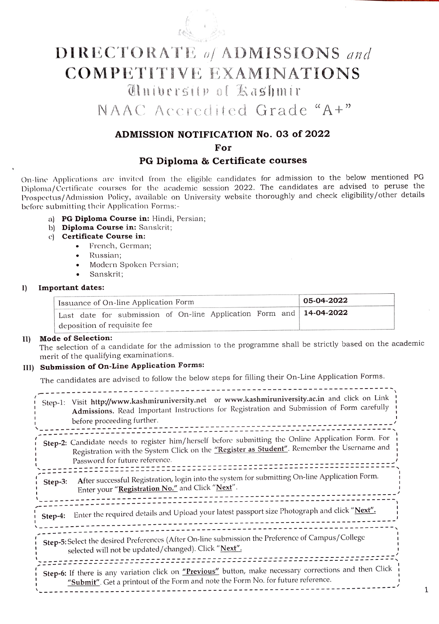

# DIRECTORATE of ADMISSIONS and COMPETITIVE EXAMINATIONS nibersitP ol Kashmir

NAAC Accredited Grade "A+"

### ADMISSION NOTIFICATION No. 03 of 2022

For

#### PG Diploma & Certificate courses

On-line Applications are invited from the cligible candidates for admission to the below mentioned PG Diploma/Certificate courses for the academic scssion 2022. The candidates are advised to peruse the Prospectus/ Admission Policy, available on University website thoroughly and check eligibility/other details before submitting their Application Forms:-

- a) PG Diploma Course in: Hindi, Persian;
- b) Diploma Course in: Sanskrit;
- c) Certificate Course in:
	- French, German;
	- Russian
	- Modern Spoken Persian;
	- Sanskrit;

#### 1) Important dates:

|  | Issuance of On-line Application Form |  |  | 05-04-2022                                                                   |
|--|--------------------------------------|--|--|------------------------------------------------------------------------------|
|  |                                      |  |  | Last date for submission of On-line Application Form and   <b>14-04-2022</b> |
|  | deposition of requisite fee          |  |  |                                                                              |

#### II) Mode of Selection:

The selection of a candidate for the admission to the programme shall be strictly based on the academic merit of the qualifying examinations.

### III) Submission of On-Line Application Forms:

The candidates are advised to follow the below steps for filling their On-Line Application Forms.

| Step-1: | Visit http://www.kashmiruniversity.net or www.kashmiruniversity.ac.in and click on Link<br>Admissions. Read Important Instructions for Registration and Submission of Form carefully<br>before proceeding further.                 |
|---------|------------------------------------------------------------------------------------------------------------------------------------------------------------------------------------------------------------------------------------|
|         | Step-2: Candidate needs to register him/herself before submitting the Online Application Form. For<br>Registration with the System Click on the "Register as Student". Remember the Username and<br>Password for future reference. |
| Step-3: | After successful Registration, login into the system for submitting On-line Application Form.<br>Enter your "Registration No." and Click "Next".                                                                                   |
| Step-4: | Enter the required details and Upload your latest passport size Photograph and click "Next".                                                                                                                                       |
|         | Step-5: Select the desired Preferences (After On-line submission the Preference of Campus/College<br>selected will not be updated/changed). Click "Next".                                                                          |
|         | Step-6: If there is any variation click on "Previous" button, make necessary corrections and then Click<br>"Submit". Get a printout of the Form and note the Form No. for future reference.                                        |